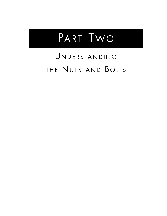

# UNDERSTANDING THE NUTS AND BOLTS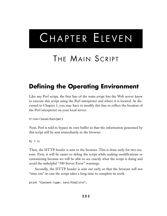# CHAPTER ELEVEN

# THE MAIN SCRIPT

## **Defining the Operating Environment**

Like any Perl script, the first line of the main script lets the Web server know to execute this script using the Perl interpreter and where it is located. As discussed in Chapter 1, you may have to modify this line to reflect the location of the Perl interpreter on your local server.

#!/usr/local/bin/perl

Next, Perl is told to bypass its own buffer so that the information generated by this script will be sent immediately to the browser.

 $| \xi | = 1;$ 

Then, the HTTP header is sent to the browser. This is done early for two reasons. First, it will be easier to debug the script while making modifications or customizing because we will be able to see exactly what the script is doing and avoid the unhelpful "500 Server Error" warnings.

Secondly, the HTTP header is sent out early so that the browser will not "time out" in case the script takes a long time to complete its work.

print "Content-type: text/html\n\n";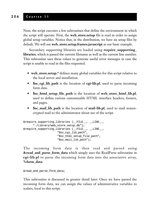Next, the script executes a few subroutines that define the environment in which the script will operate. First, the **web\_store.setup** file is read in order to assign global setup variables. Notice that, in the distribution, we have six setup files by default. We will use **web\_store.setup.frames.javascript** as our basic example.

Secondary supporting libraries are loaded using **require\_supporting\_ libraries**, which is passed the current filename as well as the current line number. This subroutine uses these values to generate useful error messages in case the script is unable to read in the files requested.

- **web\_store.setup.\*** defines many global variables for this script relative to the local server and installation.
- **\$sc\_cgi\_lib\_path** is the location of **cgi-lib.pl**, used to parse incoming form data.
- **\$sc\_html\_setup\_file\_path** is the location of **web\_store\_html\_lib.pl**, used to define various customizable HTML interface headers, footers, and pages.
- **\$sc\_mail\_lib\_path** is the location of **mail-lib.pl**, used to mail nonencrypted mail to the administrator about use of the script.

```
&require_supporting_libraries (__FILE__, __LINE__,
      "./Library/web_store.setup.db");
&require_supporting_libraries (__FILE__, __LINE__,
                     "$sc_cgi_lib_path",
                     "Ssc_html_setup_file_path",
                     "$sc_mail_lib_path");
```
The incoming form data is then read and parsed using **&read\_and\_parse\_form\_data** which simply uses the ReadParse subroutine in **cgi-lib.pl** to parse the incoming form data into the associative array, **%form\_data**:

```
&read_and_parse_form_data;
```
This subroutine is discussed in greater detail later. Once we have parsed the incoming form data, we can assign the values of administrative variables to scalars, local to this script.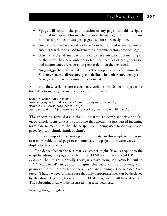- **Spage** will contain the path location of any pages that this script is required to display. This may be the store frontpage, order form, or any number of product or category pages used for store navigation.
- **\$search\_request** is the value of the form button used when a customer submits search terms used to generate a dynamic custom product page.
- **Scart\_id** is the i.d. number of the customer's unique cart containing all of the items they have ordered so far. The specifics of cart generation and maintenance are covered in greater depth in the next section.
- **\$sc\_cart\_path** is the actual path of the shopping cart combining both **\$sc\_user\_carts\_directory\_path** defined in **web\_store.setup** and **\$cart\_id** that may be coming in as form data.

All four of these variables are crucial state variables which must be passed as form data from every instance of this script to the next.

```
\text{Space} = \text{Sform\_data} \{ 'page' \};$search request = $form data{'search request button'};
$cart_id = $form_data{'cart_id'};
$sc_cart_path = "$sc_user_carts_directory_path/$cart_id.cart";
```
The incoming form data is then submitted to some security checks. **error\_check\_form\_data** is a subroutine that checks the just-parsed incoming form data to make sure that the script is only being used to display proper pages (typically **.html**, .**html**, or **.htm**).

This is an important security precaution. Later in this script, we are going to use a variable called **page** to communicate the page in our store we want to display to the customer.

The danger lies in the fact that a customer might "fake" a request to the script by editing the **page** variable in the HTML or in the encoded URL. For example, they might manually reassign a page from, say, **Vowels.html** to "../../../etc/passwd"! As you can imagine, this could end up displaying your password file to the browser window if you are running a UNIX-based Web server. Thus, we need to make sure that only appropriate files can be displayed by the store. Typically, these are only HTML pages you will have designed. The subroutine itself will be discussed in greater detail later.

&error\_check\_form\_data;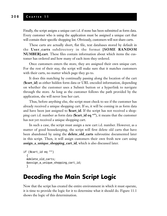Finally, the script assigns a unique cart i.d. if none has been submitted as form data. Every customer who is using the application must be assigned a unique cart that will contain their specific shopping list. Obviously, customers will not share carts.

These carts are actually short, flat file, text databases stored by default in the **User\_carts** subdirectory in the format **[SOME RANDOM NUMBER].cart**. These files contain information about which items the customer has ordered and how many of each item they ordered.

Once customers enters the store, they are assigned their own unique cart. For the rest of their stay, the script will make sure that it matches customers with their carts, no matter which page they go to.

It does this matching by continually passing along the location of the cart (**\$cart\_id**) as either hidden form data or URL encoded information, depending on whether the customer uses a Submit button or a hyperlink to navigate through the store. As long as the customer follows the path provided by the application, she will never lose her cart.

Thus, before anything else, the script must check to see if the customer has already received a unique shopping cart. If so, it will be coming in as form data and have been just assigned to **\$cart\_id**. If the script has not received a shopping cart i.d. number as form data (**\$cart\_id eq ""**), it means that the customer has not yet received a unique shopping cart.

In such a case, the script must assign a new cart i.d. number. However, as a matter of good housekeeping, the script will first delete old carts that have been abandoned by using the **delete\_old\_carts** subroutine documented later in this script. Then, it will assign customers their own fresh new cart using **assign\_a\_unique\_shopping\_cart\_id**, which is also discussed later.

```
if ($cart_id eq "")
  {
 &delete_old_carts;
  &assign_a_unique_shopping_cart_id;
  }
```
#### **Decoding the Main Script Logic**

Now that the script has created the entire environment in which it must operate, it is time to provide the logic for it to determine what it should do. Figure 11.1 shows the logic of this determination.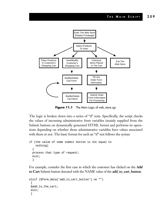

**Figure 11.1** The Main Logic of web\_store.cgi.

The logic is broken down into a series of "if" tests. Specifically, the script checks the values of incoming administrative form variables (mainly supplied from the Submit buttons on dynamically generated HTML forms) and performs its operations depending on whether those administrative variables have values associated with them or not. The basic format for such an "if" test follows the syntax:

```
if (the value of some submit button is not equal to
   nothing)
  {
 process that type of request;
 exit;
  }
```
For example, consider the first case in which the customer has clicked on the **Add to Cart** Submit button denoted with the NAME value of the **add\_to\_cart\_button**.

```
elsif ($form_data{'add_to_cart_button'} ne "")
 {
&add_to_the_cart;
exit;
 }
```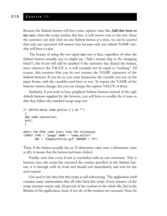#### **210 C HAPTER 1 1**

Because the Submit button will have some caption value like **Add this item to my cart**, when the script reaches this line, it will answer true to the test. Since the customer can only click on one Submit button at a time, we can be assured that only one operation will answer true because only one submit NAME variable will have a value.

The beauty of using the not equal (**ne**) test is that, regardless of what the Submit button actually says (it might say, "Add a wiener dog to the chopping block"), the if test will still be satisfied if the customer has clicked the button, since whatever the VALUE is, it will certainly not be equal to "nothing". Of course, this assumes that you do not rename the NAME argument of the Submit buttons. If you do so, you must harmonize the variable you use on the input forms, with the variables used here to test. To repeat, the NAME of the buttons cannot change, but you can change the caption VALUE of them.

Similarly, if you wish to have graphical Submit buttons instead of the ugly default buttons supplied by the browser, you will have to modify the if tests so that they follow the standard image map test:

```
if ($form_data{'some_button.x'} ne "")
 {
&do some subroutine;
 exit;
 }
where the HTML code looks like the following:
<INPUT TYPE = "image" NAME = "some_button"
       SRC = "Images/button.gif" BORDER = "0">
```
Thus, if the button actually has an X-dimension value (any x-dimension value at all), it means that the button had been clicked.

Finally, note that every if test is concluded with an exit statement. This is because once the script has executed the routine specified in the Submit button, it is through with its work and should exit immediately and wait for the next request.

Get used to the idea that this script is self-referencing. The application itself contains many miniroutines that all refer back this script. Every instance of the script executes maybe only 20 percent of the routines in the whole file, but in the lifetime of the application, most, if not all, of the routines are executed. Next, let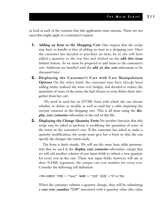us look at each of the routines that this application must execute. There are ten cases that might apply to a customer's request.

- **1. Adding an Item to the Shopping Cart** One request that the script may have to handle is that of adding an item to a shopping cart. Once the customer has decided to purchase an item, he or she will have added a quantity to the text box and clicked on the **add this item** Submit button. So we must be prepared to add items to the customer's cart. Additions are handled with the **add\_to\_the\_cart** subroutine to be discussed later.
- **2. Displaying the Customer's Cart with Cart Manipulation Options** On the other hand, the customer may have already been adding items, realized she went over budget, and decided to reduce the quantities of some of the items she had chosen or even delete them altogether from her cart.

We need to send her an HTML form with which she can choose whether to delete or modify, as well as send her a table depicting the current contents of the shopping cart. This is all done using the **display\_cart\_contents** subroutine at the end of this file.

**3. Displaying the Change Quantity Form** Yet another function that this script may be asked to perform is modifying the quantities of some of the items in the customer's cart. If the customer has asked to make a quantity modification, the script must give her a form so that she can specify the changes she wants made.

The form is fairly simple. We will use the same basic table presentation that we used in the **display\_cart\_contents** subroutine, except that we will add another column of text input fields to submit a new quantity for every row in the cart. These text input fields, however, will use as their NAME argument, the unique cart row number for every row. Consider the following cell definition:

```
<TD><INPUT TYPE = "text" NAME = "219" SIZE ="3"></TD>
```
When the customer submits a quantity change, they will be submitting a **cart\_row\_number "219"** associated with a quantity value (the value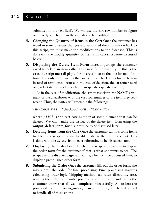submitted in the text field). We will use the cart row number to figure out exactly which item in the cart should be modified.

- **4. Changing the Quantity of Items in the Cart** Once the customer has typed in some quantity changes and submitted the information back to this script, we must make the modifications to the database. This is done with the **modify\_quantity\_of\_items\_in\_cart** subroutine discussed below.
- **5. Displaying the Delete Item Form** Instead, perhaps the customer asked to delete an item rather than modify the quantity. If this is the case, the script must display a form very similar to the one for modification. The only difference is that we will use checkboxes for each item instead of text boxes because in the case of deletion, the customer need only select items to delete rather than specify a specific quantity.

As in the case of modification, the script associates the NAME argument of the checkboxes with the cart row number of the item they represent. Thus, the syntax will resemble the following:

<TD><INPUT TYPE = "checkbox" NAME = "220"></TD>

where **"220"** is the cart row number of some element that can be deleted. We will handle the display of the delete item form using the **output\_delete\_item\_form** subroutine to be discussed later.

- **6. Deleting Items from the Cart** Once the customer submits some items to delete, the script must also be able to delete them from the cart. This is done with the **delete\_from\_cart** subroutine to be discussed later.
- **7. Displaying the Order Form** Further, the script must be able to display the order form for the customer if that is what she wants to see. The script uses the **display\_page** subroutine, which will be discussed later, to display a predesigned order form.
- **8. Submitting the Order** Once the customer fills out the order form, she may submit the order for final processing. Final processing involves calculating order logic (shipping method, tax rates, discounts, etc.), sending the order to the order processing administrator, and letting the customer know that all was completed successfully. All orders are processed by the **process\_order\_form** subroutine, which is designed to handle all of these chores.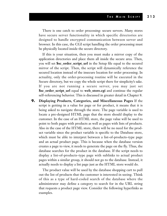There is one catch to order processing: secure servers. Many stores have secure server functionality in which specific directories are designed to handle encrypted communication between server and browser. In this case, the CGI script handling the order processing must be physically located inside the secure directory.

If this is your situation, then you must make a mirror copy of the application directories and place them all inside the secure area. Then, you will set **\$sc\_order\_script\_url** in the Setup file equal to the secured mirror of the script. Then, the script will dynamically reference the secured location instead of the insecure location for order processing. In actuality, only the order-processing routine will be executed in the Secure directory, but we copy the whole script there for simplicity's sake. If you are not running a secure server, you may just set **\$sc\_order\_script\_url** equal to **web\_store.cgi** and continue the regular self-referencing behavior. This is discussed in greater detail in Chapter 8.

**9. Displaying Products, Categories, and Miscellaneous Pages** If the script is getting in a value for page or for product, it means that it is being asked to navigate through the store. The page variable is used to locate a pre-designed HTML page that the store should display to the customer. In the case of an HTML store, the page value will be used to point to both pages with products as well as pages with lists of products. Also in the case of the HTML store, there will be no need for the product variable since the product variable is specific to the Database store, which must be able to interpret between a list-of-products–type page and an actual product page. This is because when the database version creates a page to view, it needs to generate the page on the fly. Thus, the database searches for the product in the database. If the script needs to display a list-of-products–type page with sublinks to actual product pages within a similar group, it should not go to the database. Instead, it actually needs to display a list page just as the HTML store would do.

The product value will be used by the database shopping cart to pull out the list of products that the customer is interested in seeing. Think of this as a type of hard-coded search of the database where the administrator may define a category to search for in the URL string that requests a product page view. Consider the following hyperlinks as examples.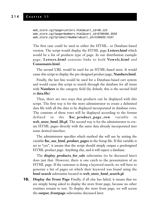```
web_store.cgi?page=Letters.html&cart_id=98.123
web_store.cgi?page=Numbers.html&cart_id=8708496.3559
web_store.cgi?product=Numbers&cart_id=2196655.5107
```
The first case could be used in either the HTML- or Database-based version. The script would display the HTML page **Letters.html** which would be a list of products type of page. In our distribution example page, **Letters.html** contains links to both **Vowels.html** and **Consonants.html**.

The second URL would be used for an HTML-based store. It would cause this script to display the pre-designed product page, **Numbers.html**.

Finally, the last line would be used for a Database-based cart system and would cause this script to search through the database for all items with **Numbers** in the category field (by default, this is the second field in **data.file**)

Thus, there are two ways that products can be displayed with this script. The first way is for the store administrator to create a delimited data file with all the data to be displayed incorporated in database rows. The contents of these rows will be displayed according to the format defined in the **\$sc\_product\_page\_row** variable in **web\_store\_html\_lib.pl**. The second way is for the administrator to create HTML pages directly with the same data already incorporated into some desired interface.

The administrator specifies which method she will use by setting the variable **\$sc\_use\_html\_product\_pages** in the Setup file. If this variable is set to "yes", it means that the script should simply output a predesigned HTML product page. Anything else, and it will expect a database.

The **display\_products\_for\_sale** subroutine (to be discussed later) does just that. However, there is one catch to the presentation of an HTML page. If the customer is doing a keyword search, we will have to generate a list of pages on which their keyword was found using the **html search** subroutine located in **web\_store\_html\_search.pl**.

**10. Display the Front Page** Finally, if all else has failed, it means that we are simply being asked to display the store front page, because no other routines remain to test. To display the store front page, we will access the **output\_frontpage** subroutine discussed later.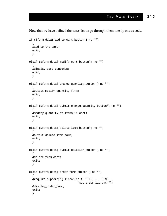Now that we have defined the cases, let us go through them one by one as code.

```
if ($form_data{'add_to_cart_button'} ne "")
  {
 &add_to_the_cart;
  exit;
  }
elsif ($form_data{'modify_cart_button'} ne "")
  {
 &display_cart_contents;
 exit;
  }
elsif ($form_data{'change_quantity_button'} ne "")
  {
 &output_modify_quantity_form;
 exit;
  }
elsif ($form_data{'submit_change_quantity_button'} ne "")
  {
  &modify quantity of items in cart;
  exit;
  }
elsif ($form_data{'delete_item_button'} ne "")
  {
  &output_delete_item_form;
  exit;
  }
elsif ($form_data{'submit_deletion_button'} ne "")
  {
 &delete_from_cart;
  exit;
  }
elsif ($form_data{'order_form_button'} ne "")
  {
  &require_supporting_libraries (__FILE__, __LINE__,
                               "$sc_order_lib_path");
 &display_order_form;
  exit;
  }
```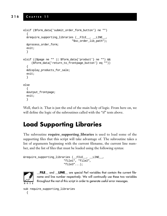#### **216 C HAPTER 1 1**

```
elsif ($form_data{'submit_order_form_button'} ne "")
  {
 &require_supporting_libraries (__FILE__, __LINE__,
                               "$sc_order_lib_path");
 &process_order_form;
 exit;
  }
elsif (($page ne "" || $form_data{'product'} ne "") &&
     ($form_data{'return_to_frontpage_button'} eq ""))
  {
 &display_products_for_sale;
 exit;
  }
else
  {
 &output_frontpage;
 exit;
  }
```
Well, that's it. That is just the end of the main body of logic. From here on, we will define the logic of the subroutines called with the "if" tests above.

### **Load Supporting Libraries**

The subroutine **require\_supporting\_libraries** is used to load some of the supporting files that this script will take advantage of. The subroutine takes a list of arguments beginning with the current filename, the current line number, and the list of files that must be loaded using the following syntax:

```
&require_supporting_libraries (__FILE__, __LINE__,
                          "file1", "file2",
                          "file3"...);
```


**\_\_FILE\_\_** and **\_\_LINE\_\_** are special Perl variables that contain the current filename and line number respectively. We will continually use these two variables throughout the rest of this script in order to generate useful error messages.

```
sub require_supporting_libraries
  {
```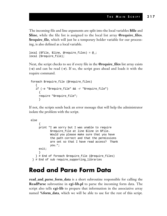The incoming file and line arguments are split into the local variables **\$file** and **\$line**, while the file list is assigned to the local list array **@require\_files**. **\$require\_file**, which will just be a temporary holder variable for our processing, is also defined as a local variable.

```
local ($file, $line, @require files) = @;local ($require_file);
```
Next, the script checks to see if every file in the **@require\_files** list array exists (**-e**) and can be read (**-r**). If so, the script goes ahead and loads it with the require command.

```
foreach $require_file (@require_files)
   {
   if (-e "$require_file" && -r "$require_file")
     {
     require "$require_file";
     }
```
If not, the scripts sends back an error message that will help the administrator isolate the problem with the script.

```
else
     \{print "I am sorry but I was unable to require
            $require file at line $line in $file.
            Would you please make sure that you have
            the path correct and that the permissions
            are set so that I have read access? Thank
            you.";
     exit;
     }
   } # End of foreach $require_file (@require_files)
 } # End of sub require_supporting_libraries
```
#### **Read and Parse Form Data**

**read\_and\_parse\_form\_data** is a short subroutine responsible for calling the **ReadParse** subroutine in **cgi-lib.pl** to parse the incoming form data. The script also tells **cgi-lib** to prepare that information in the associative array named **%form\_data**, which we will be able to use for the rest of this script.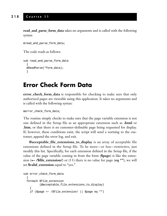**read\_and\_parse\_form\_data** takes no arguments and is called with the following syntax:

```
&read and parse form data;
```
The code reads as follows:

```
sub read_and_parse_form_data
  {
 &ReadParse(*form_data);
  }
```
#### **Error Check Form Data**

**error\_check\_form\_data** is responsible for checking to make sure that only authorized pages are viewable using this application. It takes no arguments and is called with the following syntax:

&error\_check\_form\_data;

The routine simply checks to make sure that the page variable extension is not one defined in the Setup file as an appropriate extension such as **.html** or **.htm**, or that there is no customer-definable page being requested for display. If, however, these conditions exist, the script will send a warning to the customer, append the error log, and exit.

**@acceptable\_file\_extensions\_to\_display** is an array of acceptable file extensions defined in the Setup file. To be more—or less—restrictive, just modify this list. Specifically, for each extension defined in the Setup file, if the value of the page variable coming in from the form (**\$page**) is like the extension (**=~ /\$file\_extension/**) or (**||**) there is no value for page (**eq ""**), we will set **\$valid\_extension** equal to "yes."

```
sub error_check_form_data
  {
 foreach $file_extension
          (@acceptable_file_extensions_to_display)
    {
    if ($page =~ /$file_extension/ || $page eq "")
```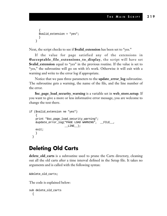```
{
  $valid_extension = "yes";
  }
}
```
Next, the script checks to see if **\$valid\_extension** has been set to "yes."

If the value for page satisfied any of the extensions in **@acceptable\_file\_extensions\_to\_display**, the script will have set **\$valid\_extension** equal to "yes" in the previous routine. If the value is set to "yes," the subroutine will go on with it's work. Otherwise it will exit with a warning and write to the error log if appropriate.

Notice that we pass three parameters to the **update\_error\_log** subroutine. The subroutine gets a warning, the name of the file, and the line number of the error.

**\$sc\_page\_load\_security\_warning** is a variable set in **web\_store.setup**. If you want to give a more or less informative error message, you are welcome to change the text there.

```
if ($valid_extension ne "yes")
    {
   print "$sc_page_load_security_warning";
   &update_error_log("PAGE LOAD WARNING", __FILE__,
                     LINE);
   exit;
    }
 }
```
#### **Deleting Old Carts**

**delete\_old\_carts** is a subroutine used to prune the Carts directory, cleaning out all the old carts after a time interval defined in the Setup file. It takes no arguments and is called with the following syntax:

&delete\_old\_carts;

The code is explained below:

```
sub delete_old_carts
  {
```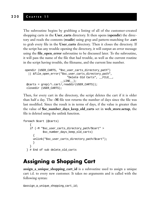The subroutine begins by grabbing a listing of all of the customer-created shopping carts in the **User\_carts** directory. It then opens (**opendir**) the directory and reads the contents (**readir**) using grep and pattern-matching for **.cart** to grab every file in the **User\_carts** directory. Then it closes the directory. If the script has any trouble opening the directory, it will output an error message using the **file\_open\_error** subroutine to be discussed later. To the subroutine, it will pass the name of the file that had trouble, as well as the current routine in the script having trouble, the filename, and the current line number.

```
opendir (USER_CARTS, "$sc_user_carts_directory_path")
  || &file_open_error("$sc_user_carts_directory_path",
                          "Delete Old Carts", __FILE__,
                      LINE);
@carts = qrep(\land .cart/,readdir(USER~CARTS));
closedir (USER_CARTS);
```
Then, for every cart in the directory, the script deletes the cart if it is older than half a day. The **-M** file test returns the number of days since the file was last modified. Since the result is in terms of days, if the value is greater than the value of **\$sc\_number\_days\_keep\_old\_carts** set in **web\_store.setup**, the file is deleted using the unlink function.

```
foreach $cart (@carts)
    {
   if (-M "$sc_user_carts_directory_path/$cart" >
            $sc_number_days_keep_old_carts)
      {
      unlink("$sc_user_carts_directory_path/$cart");
      }
    }
  } # End of sub delete_old_carts
```
#### **Assigning a Shopping Cart**

**assign\_a\_unique\_shopping\_cart\_id** is a subroutine used to assign a unique cart i.d. to every new customer. It takes no arguments and is called with the following syntax:

```
&assign_a_unique_shopping_cart_id;
```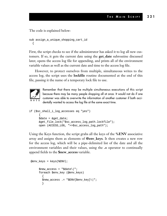The code is explained below:

```
sub assign_a_unique_shopping_cart_id
  {
```
First, the script checks to see if the administrator has asked it to log all new customers. If so, it gets the current date using the **get\_date** subroutine discussed later, opens the access log file for appending, and prints all of the environment variable values as well as the current date and time to the access log file.

However, to protect ourselves from multiple, simultaneous writes to the access log, the script uses the **lockfile** routine documented at the end of this file, passing it the name of a temporary lock file to use.



Remember that there may be multiple simultaneous executions of this script because there may be many people shopping all at once. It would not do if one customer was able to overwrite the information of another customer if both accidentally wanted to access the log file at the same exact time.

```
if ($sc_shall_i_log_accesses eq "yes")
      {
      $date = &get_date;
      &get_file_lock("$sc_access_log_path.lockfile");
      open (ACCESS_LOG, ">>$sc_access_log_path");
```
Using the Keys function, the script grabs all the keys of the **%ENV** associative array and assigns them as elements of **@env\_keys**. It then creates a new row for the access log, which will be a pipe-delimited list of the date and all the environment variables and their values, using the **.=** operator to continually append fields to the **\$new\_access** variable.

```
@env\_\text{keyS} = \text{keys}({%ENV});$new_access = "$date\|";
      foreach $env_key (@env_keys)
        {
        $new\_access .= "$EW${senv_{key}}\ ";
        }
```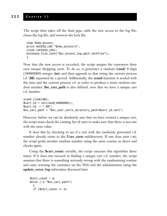The script then takes off the final pipe, adds the new access to the log file, closes the log file, and removes the lock file.

```
chop $new_access;
print ACCESS_LOG "$new_access\n";
close (ACCESS_LOG);
&release_file_lock("$sc_access_log_path.lockfile");
}
```
Now that the new access is recorded, the script assigns the customers their own unique shopping carts. To do so, it generates a random (**rand**) 8-digit (100000000) integer (**int**) and then appends to that string the current process i.d. (**\$\$**) separated by a period. Additionally, the **srand** function is seeded with the time and the current process i.d. in order to produce a more random random number. **\$sc\_cart\_path** is also defined, now that we have a unique cart i.d. number.

```
srand (time|$$);
$cart id = int(rand(10000000));$cart_id .= ".$$";
$sc_cart_path = "$sc_user_carts_directory_path/$cart_id.cart";
```
However, before we can be absolutely sure that we have created a unique cart, the script must check the existing list of carts to make sure that there is not one with the same value.

It does this by checking to see if a cart with the randomly generated i.d. number already exists in the **User\_carts** subdirectory. If one does exist (**-e**), the script grabs another random number using the same routine as above and checks again.

Using the **\$cart\_count** variable, the script executes this algorithm three times. If it does not succeed in finding a unique cart i.d. number, the script assumes that there is something seriously wrong with the randomizing routine and exits, warning the customer on the Web and the administrator using the **update\_error\_log** subroutine discussed later.

```
$cart_count = 0;while (-e "$sc_cart_path")
  {
  if (\text{start\_count} == 3)
```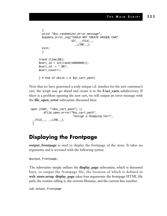```
{
 print "$sc_randomizer_error_message";
 &update_error_log("COULD NOT CREATE UNIQUE CART
                   ID", FILE,LINE);
 exit;
  }
srand (time|$$);
$cart_id = int(rand(1000000));$cart id := ".$$";
$cart_count++;
} # End of while (-e $sc_cart_path)
```
Now that we have generated a truly unique i.d. number for the new customer's cart, the script may go ahead and create it in the **User\_carts** subdirectory. If there is a problem opening the new cart, we will output an error message with the **file\_open\_error** subroutine discussed later.

```
open (CART, ">$sc_cart_path") ||
        &file_open_error("$sc_cart_path",
                           "Assign a Shopping Cart",
  \_FILE\_, \_LINE\_);
 }
```
#### **Displaying the Frontpage**

**output\_frontpage** is used to display the frontpage of the store. It takes no arguments and is accessed with the following syntax:

```
&output_frontpage;
```
The subroutine simply utilizes the **display\_page** subroutine, which is discussed later, to output the frontpage file, the location of which is defined in **web\_store.setup**. **display\_page** takes four arguments: the frontpage HTML file path, the routine calling it, the current filename, and the current line number.

```
sub output_frontpage
```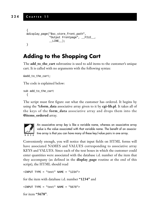```
{
&display_page("$sc_store_front_path",
              "Output Frontpage", __FILE__,
               LINE );
}
```
#### **Adding to the Shopping Cart**

The **add\_to\_the\_cart** subroutine is used to add items to the customer's unique cart. It is called with no arguments with the following syntax:

```
&add_to_the_cart;
```
The code is explained below:

```
sub add_to_the_cart
  {
```
The script must first figure out what the customer has ordered. It begins by using the **%form\_data** associative array given to it by **cgi-lib.pl**. It takes all of the keys of the **form\_data** associative array and drops them into the **@items\_ordered** array.



An associative array *key* is like a variable name, whereas an associative array *value* is the value associated with that variable name. The benefit of an associative array is that you can have many of these key/value pairs in one array.

Conveniently enough, you will notice that input fields on HTML forms will have associated NAMES and VALUES corresponding to associative array KEYS and VALUES. Since each of the text boxes in which the customer could enter quantities were associated with the database i.d. number of the item that they accompany (as defined in the **display\_page** routine at the end of this script), the HTML should read

<INPUT TYPE = "text" NAME = "1234">

for the item with database i.d. number **"1234"** and

<INPUT TYPE = "text" NAME = "5678">

for item **"5678"**.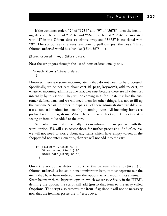If the customer orders **"2"** of **"1234"** and **"9"** of **"5678"**, then the incoming data will be a list of **"1234"** and **"5678"** such that **"1234"** is associated with **"2"** in the **%form\_data** associative array and **"5678"** is associated with **"9"**. The script uses the keys function to pull out just the keys. Thus, **@items\_ordered** would be a list like (1234, 5678, …).

```
@items_ordered = keys (%form_data);
```
Next the script goes through the list of items ordered one by one.

```
foreach $item (@items_ordered)
  {
```
However, there are some incoming items that do not need to be processed. Specifically, we do not care about **cart\_id**, **page**, **keywords**, **add\_to\_cart**, or whatever incoming administrative variables exist because these are all values set internally by this script. They will be coming in as form data just like the customer-defined data, and we will need them for other things, just not to fill up the customer's cart. In order to bypass all of these administrative variables, we use a standard method for denoting incoming items. All incoming items are prefixed with the tag **item-**. When the script sees this tag, it knows that it is seeing an item to be added to the cart.

Similarly, items that are actually options information are prefixed with the word **option**. We will also accept those for further processing. And of course, we will not need to worry about any items which have empty values. If the shopper did not enter a quantity, then we will not add it to the cart.

```
if (($item =~ /^item-/i ||$item =~ /^option/i) &&
    $form_data{$item} ne "")
  {
```
Once the script has determined that the current element (**\$item**) of **@items\_ordered** is indeed a nonadministrator item, it must separate out the items that have been ordered from the options which modify those items. If \$item begins with the keyword **option**, which we set specifically in the HTML defining the option, the script will add (**push**) that item to the array called **@options**. The script also removes the **item-** flag since it will not be necessary now that the item has passes the "if" test above.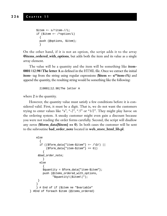```
$item =~ s/^{\text{item}-}/i;if ($item =~/^{\sim}option/i)
  {
  push (@options, $item);
  }
```
On the other hand, if it is not an option, the script adds it to the array **@items\_ordered\_with\_options**, but adds both the item and its value as a single array element.

The value will be a quantity and the item will be something like **item-0001|12.98|The letter A** as defined in the HTML file. Once we extract the initial **item-** tag from the string using regular expressions (**\$item =~ s/^item-//i;**) and append the quantity, the resulting string would be something like the following:

```
2|0001|12.98|The letter A
```
where **2** is the quantity.

However, the quantity value must satisfy a few conditions before it is considered valid. First, it must be a digit. That is, we do not want the customers trying to enter values like "a", "-2", ".5" or "1/2". They might play havoc on the ordering system. A sneaky customer might even gain a discount because you were not reading the order forms carefully. Second, the script will disallow any zeros (**\$form\_data{\$item} == 0**). In both cases the customer will be sent to the subroutine **bad\_order\_note** located in **web\_store\_html\_lib.pl**.

```
else
      {
      if (($form_data['item-$item"] = ~ / D/)(Sform data{'"item-Sitem"} == 0){
     &bad_order_note;
        }
      else
        {
        $quantity = $form_data{"item-$item"};
        push (@items_ordered_with_options,
              "\gammaquantity\|\gammaitem\|");
     }
    }
    } # End of if ($item ne "$variable"
} #End of foreach $item (@items_ordered)
```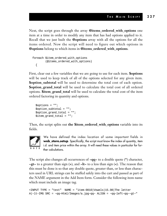Next, the script goes through the array **@items\_ordered\_with\_options** one item at a time in order to modify any item that has had options applied to it. Recall that we just built the **@options** array with all the options for all the items ordered. Now the script will need to figure out which options in **@options** belong to which items in **@items\_ordered\_with\_options**.

```
foreach $item_ordered_with_options
        (@items_ordered_with_options)
  {
```
First, clear out a few variables that we are going to use for each item. **\$options** will be used to keep track of all of the options selected for any given item. **\$option\_subtotal** will be used to determine the total cost of each option. **\$option\_grand\_total** will be used to calculate the total cost of all ordered options. **\$item\_grand\_total** will be used to calculate the total cost of the item ordered factoring in quantity and options.

```
$options = "";
$option_subtotal = "";
$option_grand_total = "";
$item_grand_total = "";
```
Then, the script splits out **the \$item\_ordered\_with\_options** variable into its fields.



We have defined the index location of some important fields in web\_store.setup. Specifically, the script must know the index of quantity, item i.d. and item price within the array. It will need these values in particular for further calculations.

The script also changes all occurrences of **~qq~** to a double quote (**"**) character, **~gt~** to a greater than sign (**>**), and **~lt~** to a less than sign (**<**). The reason that this must be done is so that any double quote, greater than, or less than characters used in URL strings can be stuffed safely into the cart and passed as part of the NAME argument in the Add Item form. Consider the following item name which must include an image tag.

<INPUT TYPE = "text" NAME = "item-0010|Vowels|15.98|The letter  $A$ |~lt~IMG SRC = ~qq~Html/Images/a.jpg~qq~ ALIGN = ~qq~left~qq~~gt~"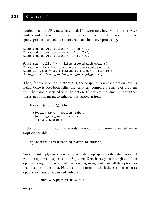Notice that the URL must be edited. If it were not, how would the browser understand how to interpret the form tag? The form tag uses the double quote, greater than, and less than characters in its own processing.

```
$item ordered with options =~ s/~qq~/\"/q;
$item_ordered_with_options =~ s/~qt~/\>/q;
$item_ordered_with_options =~ s/~lt~/\</g;
@cart\_row = split (/\\!/, $item_ordered_with_options);
$item quantity = $cart row[$sc_cart_index_of_quantity];
$item_id_number = $cart_row[$sc_cart_index_of_item_id];
$item_price = $cart_row[$sc_cart_index_of_price];
```
Then, for every option in **@options**, the script splits up each option into its fields. Once it does both splits, the script can compare the name of the item with the name associated with the option. If they are the same, it knows that this is an option meant to enhance this particular item.

```
foreach $option (@options)
  {
  ($option_marker, $option_number,
   $option_item_number) = split
     (|\wedge|/, $option);
```
If the script finds a match, it records the option information contained in the **\$option** variable.

```
if ($option_item_number eq "$item_id_number")
 {
```
Since it must apply this option to this item, the script splits out the value associated with the option and appends it to **\$options**. Once it has gone through all of the options, using **.=**, the script will have one big string containing all the options so that it can print them out. Note that in the form on which the customer chooses options, each option is denoted with the form

 $NAME = "A|B|C" VALUE = "D|E"$ 

where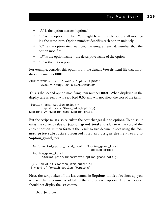- "A" is the option marker "option."
- "B" is the option number. You might have multiple options all modifying the same item. Option number identifies each option uniquely .
- "C" is the option item number, the unique item i.d. number that the option modifies.
- "D" is the option name—the descriptive name of the option.
- "E" is the option price.

For example, consider this option from the default **Vowels.html** file that modifies item number **0001**:

```
\timesINPUT TYPE = "radio" NAME = "option 2|0001"VALUE = "Red|0.00" CHECKED>Red<BR>
```
This is the second option modifying item number **0001**. When displayed in the display cart screen, it will read **Red 0.00**, and will not affect the cost of the item.

```
($option_name, $option_price) =
         split (/\|/,$form_data{$option});
$options .= "$option_name $option_price,";
```
But the script must also calculate the cost changes due to options. To do so, it takes the current value of **\$option\_grand\_total** and adds to it the cost of the current option. It then formats the result to two decimal places using the **format\_price** subroutine discussed later and assigns the new result to **\$option\_grand\_total**.

```
$unformatted_option_grand_total = $option_grand_total
                                   + $option_price;
$option_grand_total =
       &format_price($unformatted_option_grand_total);
 } # End of if ($option_item_number eq
} # End of foreach $option (@options)
```
Next, the script takes off the last comma in **\$options**. Look a few lines up; you will see that a comma is added to the end of each option. The last option should not display the last comma.

chop \$options;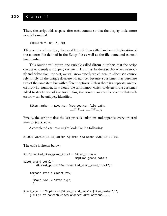Then, the script adds a space after each comma so that the display looks more neatly formatted.

 $$$ options =~ s/, /, /g;

The counter subroutine, discussed later, is then called and sent the location of the counter file defined in the Setup file as well as the file name and current line number.

This routine will return one variable called **\$item\_number**, that the script can use to identify a shopping cart item. This must be done so that when we modify and delete from the cart, we will know exactly which item to affect. We cannot rely simply on the unique database i.d. number because a customer may purchase two of the same item but with different options. Unless there is a separate, unique cart row i.d. number, how would the script know which to delete if the customer asked to delete one of the two? Thus, the counter subroutine assures that each cart row can be uniquely identified.

```
$item number = &counter ($sc counter file path,_FILE_, _LINE_);
```
Finally, the script makes the last price calculations and appends every ordered item to **\$cart\_row**.

A completed cart row might look like the following:

2|0001|Vowels|15.98|Letter A|Times New Roman 0.00|15.98|161

The code is shown below:

```
$unformatted item grand total = $item price +
                                $option_grand_total;
$item_grand_total =
        &format_price("$unformatted_item_grand_total");
    foreach $field (@cart_row)
      {
      $cart_row .= "$field\|";
      }
$cart_row .= "$options\|$item_grand_total\|$item_number\n";
    } # End of foreach $item_ordered_with_options.....
```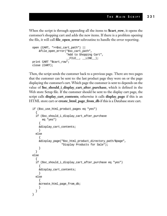When the script is through appending all the items to **\$cart\_row**, it opens the customer's shopping cart and adds the new items. If there is a problem opening the file, it will call **file\_open\_error** subroutine to handle the error reporting.

```
open (CART, ">>$sc_cart_path") ||
    &file_open_error("$sc_cart_path",
                      "Add to Shopping Cart",
                      \_ FILE \, , \, LINE \, );
print CART "$cart_row";
close (CART);
```
Then, the script sends the customer back to a previous page. There are two pages that the customer can be sent to: the last product page they were on or the page displaying the customer's cart. Which page the customer is sent to depends on the value of **\$sc\_should\_i\_display\_cart\_after\_purchase**, which is defined in the Web store Setup file. If the customer should be sent to the display cart page, the script calls **display\_cart\_contents**; otherwise it calls **display\_page** if this is an HTML store cart or **create\_html\_page\_from\_db** if this is a Database store cart.

```
if ($sc_use_html_product_pages eq "yes")
  {
  if ($sc_should_i_display_cart_after_purchase
      eq "yes")
    {
   &display_cart_contents;
    }
  else
    {
    &display_page("$sc_html_product_directory_path/$page",
                   "Display Products for Sale");
    }
  }
else
  {
  if ($sc_should_i_display_cart_after_purchase eq "yes")
    {
    &display_cart_contents;
    }
  else
    {
   &create_html_page_from_db;
    }
  }
}
```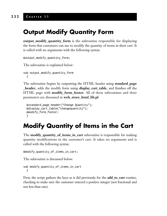### **Output Modify Quantity Form**

**output\_modify\_quantity\_form** is the subroutine responsible for displaying the form that customers can use to modify the quantity of items in their cart. It is called with no arguments with the following syntax:

```
&output_modify_quantity_form;
```
The subroutine is explained below:

```
sub output_modify_quantity_form
  {
```
The subroutine begins by outputting the HTML header using **standard\_page \_header**, adds the modify form using **display\_cart\_table**, and finishes off the HTML page with **modify\_form\_footer**. All of these subroutines and their parameters are discussed in **web\_store\_html\_lib.pl**.

```
&standard_page_header("Change Quantity");
&display_cart_table("changequantity");
&modify_form_footer;
}
```
## **Modify Quantity of Items in the Cart**

The **modify\_quantity\_of\_items\_in\_cart** subroutine is responsible for making quantity modifications in the customer's cart. It takes no arguments and is called with the following syntax:

```
&modify_quantity_of_items_in_cart;
```
The subroutine is discussed below:

```
sub modify_quantity_of_items_in_cart
  {
```
First, the script gathers the keys as it did previously for the **add\_to\_cart** routine, checking to make sure the customer entered a positive integer (not fractional and not less than one).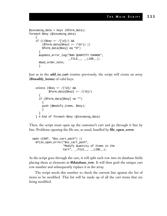```
@incoming_data = keys (%form_data);
foreach $key (@incoming_data)
    {
    if (( \frac{e}{2}e^{-x} / [\dagger]') & &
         (\text{Sform\_data}{$key} =~ /\D/)) ||
         $form_data{$key} eq "0")
       {
      &update_error_log("BAD QUANTITY CHANGE",
                            \_ FILE\_, \_ LINE\_);
      &bad_order_note;
       }
```
Just as in the **add\_to\_cart** routine previously, the script will create an array (**@modify\_items**) of valid keys.

```
unless ($key =~ /[\D] / \&$form data{$key} =~ /[\D]/)
  {
  if ($form_data{$key} ne "")
    {
   push (@modify_items, $key);
    }
  }
} # End of foreach $key (@incoming_data)
```
Then, the script must open up the customer's cart and go through it line by line. Problems opening the file are, as usual, handled by **file\_open\_error**.

```
open (CART, "$sc_cart_path") ||
  &file_open_error("$sc_cart_path",
                   "Modify Quantity of Items in the
                   Cart", \_\_FILE", \_\_LINE];
```
As the script goes through the cart, it will split each row into its database fields placing them as elements in **@database\_row**. It will then grab the unique cart row number and subsequently replace it in the array.

The script needs this number to check the current line against the list of items to be modified. This list will be made up of all the cart items that are being modified.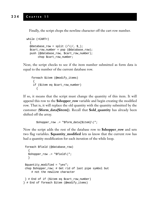Finally, the script chops the newline character off the cart row number.

```
while (<CART>)
  {
  @database_row = split (|\wedge|/, $_);
  $cart_row_number = pop (@database_row);
  push (@database_row, $cart_row_number);
       chop $cart_row_number;
```
Next, the script checks to see if the item number submitted as form data is equal to the number of the current database row.

```
foreach $item (@modify_items)
 {
 if ($item eq $cart_row_number)
   {
```
If so, it means that the script must change the quantity of this item. It will append this row to the **\$shopper\_row** variable and begin creating the modified row. That is, it will replace the old quantity with the quantity submitted by the customer (**\$form\_data{\$item}**). Recall that **\$old\_quantity** has already been shifted off the array.

\$shopper\_row .= "\$form\_data{\$item}\|";

Now the script adds the rest of the database row to **\$shopper\_row** and sets two flag variables. **\$quantity\_modified** lets us know that the current row has had a quantity modification for each iteration of the while loop.

```
foreach $field (@database_row)
   {
   $shopper_row .= "$field\|";
   }
 $quantity_modified = "yes";
 chop $shopper_row; # Get rid of last pipe symbol but
    # not the newline character
 } # End of if ($item eq $cart_row_number)
} # End of foreach $item (@modify_items)
```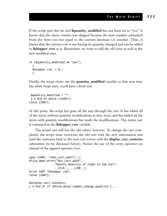If the script gets this far and **\$quantity\_modified** has not been set to "yes," it knows that the above routine was skipped because the item number submitted from the form was not equal to the current database i.d. number. Thus, it knows that the current row is not having its quantity changed and can be added to **\$shopper\_row** as is. Remember, we want to add the old rows as well as the new modified ones.

```
if ($quantity_modified ne "yes")
  {
  $shopper_row .= $_;
  }
```
Finally, the script clears out the **quantity\_modified** variable so that next time the while loops start, it will have a fresh test.

```
$quantity_modified = "";
 } # End of while (<CART>)
close (CART);
```
At this point, the script has gone all the way through the cart. It has added all of the items without quantity modifications as they were, and has added all the items with quantity modifications but made the modifications. The entire cart is contained in the **\$shopper\_row** variable.

The actual cart still has the old values, however. To change the cart completely the script must overwrite the old cart with the new information and send the customer back to the view cart screen with the **display\_cart\_contents** subroutine (to be discussed below). Notice the use of the write operator (**>**) instead of the append operator (**>>**).

```
open (CART, ">$sc_cart_path") ||
&file_open_error("$sc_cart_path",
                "Modify Quantity of Items in the Cart",
                __FILE__, ___LINE__);
print CART "$shopper_row";
close (CART);
&display_cart_contents;
} # End of if ($form_data{'submit_change_quantity'}...
```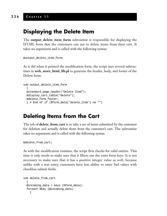#### **236 C HAPTER 1 1**

#### **Displaying the Delete Item**

The **output\_delete\_item\_form** subroutine is responsible for displaying the HTML form that the customers can use to delete items from their cart. It takes no arguments and is called with the following syntax:

```
&output_delete_item_form;
```
As it did when it printed the modification form, the script uses several subroutines in **web\_store\_html\_lib.pl** to generate the header, body, and footer of the Delete form.

```
sub output_delete_item_form
  {
 &standard_page_header("Delete Item");
 &display_cart_table("delete");
 &delete_form_footer;
  } # End of if ($form_data{'delete_item'} ne "")
```
#### **Deleting Items from the Cart**

The job of **delete\_from\_cart** is to take a set of items submitted by the customer for deletion and actually delete them from the customer's cart. The subroutine takes no arguments and is called with the following syntax:

```
&delete_from_cart;
```
As with the modification routines, the script first checks for valid entries. This time it only needs to make sure that it filters out the extra form keys. It is not necessary to make sure that it has a positive integer value as well, because unlike with a text entry, customers have less ability to enter bad values with checkbox submit fields.

```
sub delete_from_cart
  {
 @incoming_data = keys (%form_data);
  foreach $key (@incoming_data)
    {
```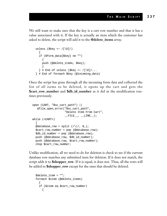We still want to make sure that the key is a cart row number and that it has a value associated with it. If the key is actually an item which the customer has asked to delete, the script will add it to the **@delete\_items** array.

```
unless (\text{skey} = \text{N}(\text{D}))
  {
  if ($form_data{$key} ne "")
    {
    push (@delete_items, $key);
    }
  \} # End of unless ($key =~ /[\D]/...
} # End of foreach $key (@incoming_data)
```
Once the script has gone through all the incoming form data and collected the list of all items to be deleted, it opens up the cart and gets the **\$cart\_row\_number** and **\$db\_id\_number** as it did in the modification routines previously.

```
open (CART, "$sc_cart_path") ||
   &file_open_error("$sc_cart_path",
                    "Delete Item From Cart",
                    \_ FILE\_, \_ LINE\_);
while (<CART>)
  {
  @database_row = split (\wedge)/, $_);
  $cart_row_number = pop (@database_row);
  $db_id_number = pop (@database_row);
  push (@database_row, $db_id_number);
  push (@database_row, $cart_row_number);
  chop $cart_row_number;
```
Unlike modification, all we need to do for deletion is check to see if the current database row matches any submitted item for deletion. If it does not match, the script adds it to **\$shopper\_row**. If it is equal, it does not. Thus, all the rows will be added to **\$shopper\_row** except for the ones that should be deleted.

```
$delete_item = "";
foreach $item (@delete_items)
  {
 if ($item eq $cart_row_number)
    {
```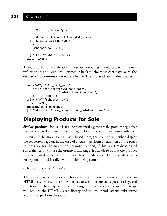```
$delete_item = "yes";
      }
    } # End of foreach $item (@add_items)
  if ($delete_item ne "yes")
    {
    $shopper_row .= $_;
    }
  } # End of while (<CART>)
close (CART);
```
Then, as it did for modification, the script overwrites the old cart with the new information and sends the customer back to the view cart page with the **display\_cart\_contents** subroutine, which will be discussed later in this chapter.

```
open (CART, ">$sc_cart_path") ||
     &file_open_error("$sc_cart_path",
                      "Delete Item From Cart",
__FILE__ , ___LINE___)   <br>;
print CART "$shopper_row";
close (CART);
&display_cart_contents;
 } # End of if ($form_data{'submit_deletion'} ne "")
```
#### **Displaying Products for Sale**

**display\_products\_for\_sale** is used to dynamically generate the product pages that the customer will want to browse through. However, there are two cases within it.

First, if the store is an HTML-based store, this routine will either display the requested page or, in the case of a search, perform a search on all the pages in the store for the submitted keyword. Second, if this is a Database-based store, the script will use the **create\_html\_page\_from\_db** to output the product page requested or to perform the search on the database. The subroutine takes no arguments and is called with the following syntax:

```
&display_products_for_sale;
```
The script first determines which type of store this is. If it turns out to be an HTML-based store, the script will check to see if the current request is a keyword search or simply a request to display a page. If it is a keyword search, the script will require the HTML search library and use the **html\_search** subroutine within it to perform the search.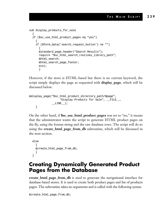```
sub display_products_for_sale
  {
  if ($sc_use_html_product_pages eq "yes")
    {
    if ($form_data{'search_request_button'} ne "")
      {
      &standard_page_header("Search Results");
      require "$sc_html_search_routines_library_path";
      &html_search;
      &html_search_page_footer;
      exit;
      }
```
However, if the store is HTML-based but there is no current keyword, the script simply displays the page as requested with **display\_page**, which will be discussed below.

```
&display_page("$sc_html_product_directory_path/$page",
                   "Display Products for Sale", __FILE__,
              __LINE__);
    }
```
On the other hand, if **\$sc\_use\_html\_product\_pages** was set to "no," it means that the administrator wants the script to generate HTML product pages on the fly, using the format string and the raw database rows. The script will do so using the **create\_html\_page\_from\_db** subroutine, which will be discussed in the next section.

```
else
  {
  &create_html_page_from_db;
  }
}
```
#### **Creating Dynamically Generated Product Pages from the Database**

**create\_html\_page\_from\_db** is used to generate the navigational interface for database-based stores. It is used to create both product pages and list of products pages. The subroutine takes no arguments and is called with the following syntax:

```
&create_html_page_from_db;
```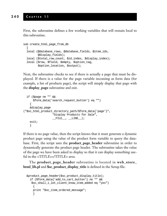First, the subroutine defines a few working variables that will remain local to this subroutine.

```
sub create_html_page_from_db
  {
 local (@database_rows, @database_fields, @item_ids,
         @display_fields);
 local ($total_row_count, $id_index, $display_index);
 local ($row, $field, $empty, $option_tag,
         $option_location, $output);
```
Next, the subroutine checks to see if there is actually a page that must be displayed. If there is a value for the page variable incoming as form data (for example, a list of products page), the script will simply display that page with the **display\_page** subroutine and exit.

```
if ($page ne "" &&
     $form_data{'search_request_button'} eq "")
   {
   &display_page
("$sc_html_product_directory_path/$form_data{'page'}",
                 "Display Products for Sale",
                  _FILE_, _LINE_);
   exit;
   }
```
If there is no page value, then the script knows that it must generate a dynamic product page using the value of the product form variable to query the database. First, the script uses the **product\_page\_header** subroutine in order to dynamically generate the product page header. The subroutine takes the value of the page we have been asked to display so that it can display something useful in the <TITLE></TITLE> area.

The **product\_page\_header** subroutine is located in **web\_store\_ html\_lib.pl** and **\$sc\_product\_display\_title** is defined in the Setup file.

```
&product_page_header($sc_product_display_title);
 if ($form_data{'add_to_cart_button'} ne "" &&
   $sc_shall_i_let_client_know_item_added eq "yes")
    {
    print "$sc_item_ordered_message";
    }
```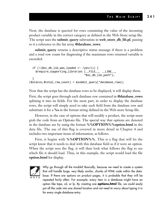Next, the database is queried for rows containing the value of the incoming product variable in the correct category as defined in the Web Store setup file. The script uses the **submit\_query** subroutine in **web\_store\_db\_lib.pl**, passing to it a reference to the list array **@database\_rows**.

**submit\_query** returns a descriptive status message if there is a problem and a total row count for diagnosing if the maximum rows returned variable is exceeded.

```
if (!($sc_db_lib_was_loaded =~ /yes/i)) {
   &require_supporting_libraries (__FILE__, __LINE__,
                                  "$sc_db_lib_path");
  }
($status,$total_row_count) = &submit_query(*database_rows);
```
Now that the script has the database rows to be displayed, it will display them.

First, the script goes through each database row contained in **@database\_rows** splitting it into its fields. For the most part, in order to display the database rows, the script will simply need to take each field from the database row and substitute it for a **%s** in the format string defined in the Web store Setup file.

However, in the case of options that will modify a product, the script must grab the code from an Options file. The special way that options are denoted in the database are by using the format **%%OPTION%%option.html** in the data file. The use of this flag is covered in more detail in Chapter 4 and includes two important items of information, as follows.

First, it begins with **%%OPTION%%**. This is a flag that will let the script know that it needs to deal with this database field as if it were an option. When the script sees the flag, it will then look what follows the flag to see which file it should load. Thus, in this example, the script would load the file **option.html** for display.



Why go through all the trouble? Basically, because we need to create a system that will handle large, very likely similar, chunks of HTML code within the database. If there are options on product pages, it is probable that they will be repeated fairly often. For example, every item in a database might have an option like tape, cd, or lp. By creating one **options.html** file, we could easily put all the code into one shared location and not need to worry about typing it in for every single database entry.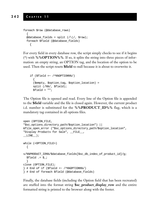```
foreach $row (@database_rows)
  {
  @database_fields = split ( \wedge | / , $row );foreach $field (@database_fields)
    {
```
For every field in every database row, the script simply checks to see if it begins (^) with **%%OPTION%%**. If so, it splits the string into three pieces of information: an empty string, an OPTION tag, and the location of the option to be used. Then the script resets **\$field** to null because it is about to overwrite it.

```
if (Sfield = \sim /%%OPTION%%/)
  {
 ($empty, $option_tag, $option_location) =
 split (/%%/, $field);
 $field = "";
```
The Option file is opened and read. Every line of the Option file is appended to the **\$field** variable and the file is closed again. However, the current product i.d. number is substituted for the **%%PRODUCT\_ID%%** flag, which is a mandatory tag contained in all options files.

```
open (OPTION_FILE,
"$sc_options_directory_path/$option_location") ||
&file_open_error ("$sc_options_directory_path/$option_location",
"Display Products for Sale", __FILE__,
LINE );
while (<OPTION_FILE>)
  {
s/%%PRODUCT_ID%%/$database_fields[$sc_db_index_of_product_id]/g;
  $field .= $ ;}
close (OPTION_FILE);
} # End of if ($field =~ /^%%OPTION%%/)
} # End of foreach $field (@database_fields)
```
Finally, the database fields (including the Option field that has been recreated) are stuffed into the format string **\$sc\_product\_display\_row** and the entire formatted string is printed to the browser along with the footer.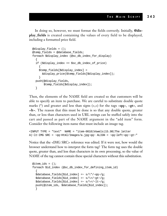In doing so, however, we must format the fields correctly. Initially, **@display\_fields** is created containing the values of every field to be displayed, including a formatted price field.

```
@display fields = ();
@temp_fields = @database_fields;
foreach $display_index (@sc_db_index_for_display)
  {
  if ($display_index == $sc_db_index_of_price)
    {
    $temp_fields[$display_index] =
      &display_price($temp_fields[$display_index]);
    }
 push(@display_fields,
       $temp_fields[$display_index]);
  }
```
Then, the elements of the NAME field are created so that customers will be able to specify an item to purchase. We are careful to substitute double quote marks (") and greater and less than signs  $(\rightarrow, \arrow)$  for the tags  $\neg$ **qq** $\neg$ ,  $\neg$ **gt** $\neg$ , and **~lt~**. The reason that this must be done is so that any double quote, greater than, or less than characters used in URL strings can be stuffed safely into the cart and passed as part of the NAME argument in the "add item" form. Consider the following item name that must include an image tag.

```
<INPUT TYPE = "text" NAME = "item-0010|Vowels|15.98|The letter
A| ~lt~IMG SRC = ~qq~Html/Images/a.jpg~qq~ ALIGN = ~qq~left~qq~~gt~"
```
Notice that the <IMG SRC> reference was edited. If it were not, how would the browser understand how to interpret the form tag? The form tag uses the double quote, greater than, and less than characters in its own processing, so the value of NAME of the tag cannot contain these special characters without this substitution.

```
@item_ids = ();
foreach $id_index (@sc_db_index_for_defining_item_id)
  {
  \deltadatabase_fields[\deltaid_index] =~ s/\"/~qq~/q;
  $database_fields[$id_index] =~ s/\>/~gt~/g;
  \deltadatabase fields[\deltaid index] =~ s/\</~lt~/q;
 push(@item_ids, $database_fields[$id_index]);
  }
```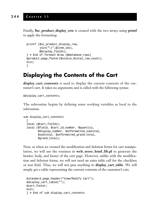Finally, **\$sc\_product\_display\_row** is created with the two arrays using **printf** to apply the formatting.

```
printf ($sc_product_display_row,
        join("\|",@item_ids),
        @display_fields);
} # End of foreach $row (@database_rows)
&product_page_footer($status,$total_row_count);
exit;
}
```
#### **Displaying the Contents of the Cart**

**display\_cart\_contents** is used to display the current contents of the customer's cart. It takes no arguments and is called with the following syntax:

```
&display_cart_contents;
```
The subroutine begins by defining some working variables as local to the subroutine.

```
sub display_cart_contents
  {
 local (@cart_fields);
 local ($field, $cart_id_number, $quantity,
         $display_number, $unformatted_subtotal,
         $subtotal, $unformatted_grand_total,
         $grand_total);
```
Next, as when we created the modification and deletion forms for cart manipulation, we will use the routines in **web\_store\_html\_lib.pl** to generate the header, body, and footer of the cart page. However, unlike with the modification and deletion forms, we will not need an extra table cell for the checkbox or text field. Thus, we will not pass anything to **display\_cart\_table**. We will simply get a table representing the current contents of the customer's cart.

```
&standard_page_header("View/Modify Cart");
&display_cart_table("");
&cart_footer;
exit;
} # End of sub display_cart_contents
```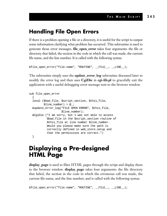#### **Handling File Open Errors**

If there is a problem opening a file or a directory, it is useful for the script to output some information clarifying what problem has occurred. This subroutine is used to generate those error messages. **file\_open\_error** takes four arguments: the file or directory that failed, the section in the code in which the call was made, the current file name, and the line number. It is called with the following syntax:

```
&file_open_error("file.name", "ROUTINE", __FILE__, __LINE__);
```
The subroutine simply uses the **update\_error\_log** subroutine discussed later to modify the error log and then uses **CgiDie** in **cgi-lib.pl** to gracefully exit the application with a useful debugging error message sent to the browser window.

```
sub file_open_error
  {
 local ($bad_file, $script_section, $this_file,
         $line number) = @;
 &update_error_log("FILE OPEN ERROR", $this_file,
                    $line_number);
 &CgiDie ("I am sorry, but I was not able to access
           $bad_file in the $script_section routine of
           $this file at line number $line number.
           Would you please make sure the path is
           correctly defined in web_store.setup and
           that the permissions are correct.")
 }
```
#### **Displaying a Pre-designed HTML Page**

**display\_page** is used to filter HTML pages through the script and display them to the browser window. **display\_page** takes four arguments: the file directory that failed, the section in the code in which the erroneous call was made, the current file name, and the line number, and is called with the following syntax:

```
&file_open_error("file.name", "ROUTINE", __FILE__, __LINE__);
```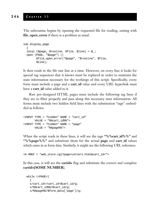The subroutine begins by opening the requested file for reading, exiting with **file\_open\_error** if there is a problem as usual.

```
sub display_page
  {
 local ($page, $routine, $file, $line) = @_;
 open (PAGE, "$page") ||
        &file_open_error("$page", "$routine", $file,
        $line);
```
It then reads in the file one line at a time. However, on every line it looks for special tag sequences that it knows must be replaced in order to maintain the state information necessary for the workings of this script. Specifically, every form must include a page and a **cart\_id** value and every URL hyperlink must have a **cart\_id** value added to it.

Raw pre-designed HTML pages must include the following tag lines if they are to filter properly and pass along this necessary state information. All forms must include two hidden field lines with the substitution "tags" embedded as follows:

```
<INPUT TYPE = "hidden" NAME = "cart_id"
     VALUE = "%%cart_id%%">
<INPUT TYPE = "hidden" NAME = "page"
      VALUE = "%%page%%">
```
When the script reads in these lines, it will see the tags **"%%cart\_id%%"** and **"%%page%%"** and substitute them for the actual **page** and **cart\_id** values which came in as form data. Similarly, it might see the following URL reference:

```
<A HREF = "web_store.cgi?page=Letters.html&cart_id=">
```
In this case, it will see the **cartid=** flag and substitute the correct and complete **cartid=[SOME NUMBER**].

```
while (<PAGE>)
  {
  s/cart_id=/cart_id=$cart_id/g;
  s/%%cart_id%%/$cart_id/g;
  s/%%page%%/$form_data{'page'}/g;
```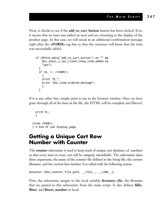Next, it checks to see if the **add\_to\_cart\_button** button has been clicked. If so, it means that we have just added an item and are returning to the display of the product page. In this case, we will sneak in an additional confirmation message right after the **<FORM>** tag line so that the customer will know that the item was successfully added.

```
if ($form_data{'add_to_cart_button'} ne "" &&
    $sc_shall_i_let_client_know_item_added eq
    "yes")
  {
 if (S_ = \sim /<FORM/)
   {
   print "$_";
   print "$sc_item_ordered_message";
    }
  }
```
If it is any other line, simply print it out to the browser window. Once we have gone through all of the lines in the file, the HTML will be complete and filtered.

```
print $_;
  }
close (PAGE);
} # End of sub display_page
```
#### **Getting a Unique Cart Row Number with Counter**

The **counter** subroutine is used to keep track of unique cart database i.d. numbers so that every item in every cart will be uniquely identifiable. The subroutine takes three arguments, the name of the counter file defined in the Setup file, the current filename, and the current line number. It is called with the following syntax:

```
&counter ($sc_counter_file_path, __FILE__, __LINE__);
```
First, the subroutine assigns to the local variable **\$counter\_file**, the filename that we passed to this subroutine from the main script. It also defines **\$file**, **\$line**, and **\$item\_number** as local.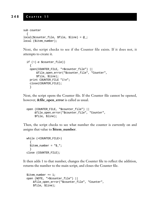```
sub counter
  {
local($counter_file, $file, $line) = @_;
local ($item_number);
```
Next, the script checks to see if the Counter file exists. If it does not, it attempts to create it.

```
if (!(-e $counter_file))
  {
 open(COUNTER_FILE, ">$counter_file") ||
      &file_open_error("$counter_file", "Counter",
      $file, $line);
 print COUNTER_FILE "1\n";
 close(COUNTER_FILE);
  }
```
Next, the script opens the Counter file. If the Counter file cannot be opened, however, **&file\_open\_error** is called as usual.

```
open (COUNTER_FILE, "$counter_file") ||
     &file_open_error("$counter_file", "Counter",
     $file, $line);
```
Then, the script checks to see what number the counter is currently on and assigns that value to **\$item\_number**.

```
while (<COUNTER_FILE>)
  {
  $item number = "§";
  }
close (COUNTER_FILE);
```
It then adds 1 to that number, changes the Counter file to reflect the addition, returns the number to the main script, and closes the Counter file.

```
$item number += 1;open (NOTE, ">$counter_file") ||
   &file_open_error("$counter_file", "Counter",
   $file, $line);
```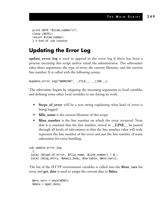```
print NOTE "$item_number\n";
close (NOTE);
return $item_number;
} # End of sub counter
```
#### **Updating the Error Log**

**update\_error\_log** is used to append to the error log if there has been a process executing this script and/or email the administrator. The subroutine takes three arguments: the type of error, the current filename, and the current line number. It is called with the following syntax:

&update\_error\_log("WARNING", \_\_FILE\_\_, \_\_LINE\_\_);

The subroutine begins by assigning the incoming arguments to local variables and defining some other local variables to use during its work.

- **\$type\_of\_error** will be a text string explaining what kind of error is being logged.
- **\$file\_name** is the current filename of this script.
- **Sline number** is the line number on which the error occurred. Note that it is essential that the line number, stored in **\_\_LINE\_\_** be passed through all levels of subroutines so that the line number value will truly represent the line number of the error and not the line number of some subroutine for error handling.

```
sub update_error_log
 {
local ($type_of_error, $file_name, $line_number) = @_;
local ($log_entry, $email_body, $variable, @env_vars);
```
The list of the HTTP environment variables is culled into the **@env\_vars** list array and **get\_date** is used to assign the current date to **\$date**.

```
@env\_vars = keys(%EW);\deltadate = \deltaget_date;
```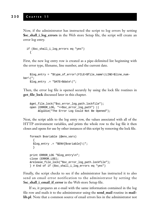Now, if the administrator has instructed the script to log errors by setting **\$sc\_shall\_i\_log\_errors** in the Web store Setup file, the script will create an error log entry.

```
if ($sc_shall_i_log_errors eq "yes")
  {
```
First, the new log entry row is created as a pipe-delimited list beginning with the error type, filename, line number, and the current date.

```
$log_entry = "$type_of_error\|FILE=$file_name\|LINE=$line_num-
ber\setminus|";
    $log_entry .= "DATE=$date\|";
```
Then, the error log file is opened securely by using the lock file routines in **get\_file\_lock** discussed later in this chapter.

```
&get_file_lock("$sc_error_log_path.lockfile");
open (ERROR_LOG, ">>$sc_error_log_path") ||
     &CgiDie("The Error Log Could Not Be Opened");
```
Next, the script adds to the log entry row, the values associated with all of the HTTP environment variables, and prints the whole row to the log file it then closes and opens for use by other instances of this script by removing the lock file.

```
foreach $variable (@env_vars)
  {
  $log_entry .= "$ENV{$variable}\|";
  }
print ERROR_LOG "$log_entry\n";
close (ERROR_LOG);
&release_file_lock("$sc_error_log_path.lockfile");
} # End of if ($sc_shall_i_log_errors eq "yes")
```
Finally, the script checks to see if the administrator has instructed it to also send an email error notification to the administrator by setting the \$**sc\_shall\_i\_email\_if\_error** in the Web store Setup file.

If so, it prepares an e-mail with the same information contained in the log file row and mails it to the administrator using the **send\_mail** routine in **maillib.pl**. Note that a common source of email errors lies in the administrator not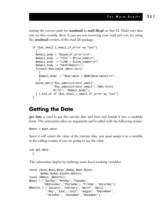setting the correct path for **sendmail** in **mail-lib.pl** on line 42. Make sure that you set this variable there if you are not receiving your mail and you are using the **sendmail** version of the mail-lib package.

```
if ($sc_shall_i_email_if_error eq "yes")
  {
  $email_body = "$type_of_error\n\n";
  $email_body .= "FILE = $file_name\n";
  $email_body .= "LINE = $line_number\n";
  \text{Semail body} := \text{''DATE} = \text{Sdate} \cdot | ";foreach $variable (@env_vars)
    {
    $email_body .= "$variable = $ENV{$variable}\n";
    }
  &send_mail("$sc_administrator_email",
              "$sc_administrator_email", "Web Store
              Error", "$email_body");
  } # End of if ($sc_shall_i_email_if_error eq "yes")
}
```
#### **Getting the Date**

**get\_date** is used to get the current date and time and format it into a readable form. The subroutine takes no arguments and is called with the following syntax:

 $\text{Sdate} = \text{kget date};$ 

Since it will return the value of the current date, you must assign it to a variable in the calling routine if you are going to use the value.

```
sub get_date
  {
```
The subroutine begins by defining some local working variables

```
local ($sec,$min,$hour,$mday,$mon,$year,
       $wday,$yday,$isdst,$date);
local (@days, @months);
@days = ('Sunday','Monday','Tuesday',
         'Wednesday', 'Thursday', 'Friday', 'Saturday');
@months = ('January','February','March','April',
           'May','June','July', 'August','September',
           'October', 'November','December');
```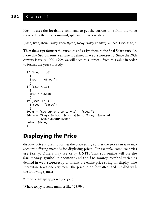Next, it uses the **localtime** command to get the current time from the value returned by the time command, splitting it into variables.

```
($sec,$min,$hour,$mday,$mon,$year,$wday,$yday,$isdst) = localtime(time);
```
Then the script formats the variables and assign them to the final **\$date** variable. Note that \$**sc\_current\_century** is defined in **web\_store.setup**. Since the 20th century is really 1900–1999, we will need to subtract 1 from this value in order to format the year correctly.

```
if (\text{shour} < 10){
  $hour = "0$hour";
  }
if ($min < 10)
  {
  $min = "0$min";
  }
if (<i>Sec</i> < 10)\{ $sec = "0$sec";
  }
$year = ($sc_current_century-1) . "$year";
$date = "$days[$wday], $months[$mon] $mday, $year at
          $hour\:$min\:$sec";
return $date;
}
```
#### **Displaying the Price**

**display\_price** is used to format the price string so that the store can take into account differing methods for displaying prices. For example, some countries use **\$xx.yy**. Others may use **xx.yy UNIT**. This subroutine will use the **\$sc\_money\_symbol\_placement** and the **\$sc\_money\_symbol** variables defined in **web\_store.setup** to format the entire price string for display. The subroutine takes one argument, the price to be formatted, and is called with the following syntax:

```
$price = &display_price(xx.yy);
```
Where **xx.yy** is some number like "23.99".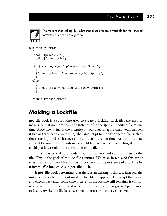

The main routine calling this subroutine must prepare a variable for the returned formatted price to be assigned to.

```
sub display_price
  {
  local (\text{Sprice}) = @;
  local ($format_price);
  if ($sc_money_symbol_placement eq "front")
    {
    $format_price = "$sc_money_symbol $price";
    }
  else
    {
    $format_price = "$price $sc_money_symbol";
    }
  return $format_price;
  }
```
#### **Making a Lockfile**

**get\_file\_lock** is a subroutine used to create a lockfile. Lock files are used to make sure that no more than one instance of the script can modify a file at one time. A lockfile is vital to the integrity of your data. Imagine what would happen if two or three people were using the same script to modify a shared file (such as the error log) and each accessed the file at the same time. At best, the data entered by some of the customers would be lost. Worse, conflicting demands could possibly result in the corruption of the file.

Thus, it is crucial to provide a way to monitor and control access to the file. This is the goal of the lockfile routines. When an instance of this script tries to access a shared file, it must first check for the existence of a lockfile by using the **file lock** checks in **get\_file\_lock**.

If **get\_file\_lock** determines that there is an existing lockfile, it instructs the instance that called it to wait until the lockfile disappears. The script then waits and checks back after some time interval. If the lockfile still remains, it continues to wait until some point at which the administrator has given it permission to just overwrite the file because some other error must have occurred.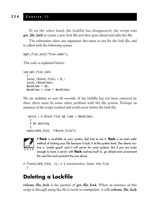If, on the other hand, the lockfile has disappeared, the script asks **get file lock** to create a new lock file and then goes ahead and edits the file.

The subroutine takes one argument, the name to use for the lock file, and is called with the following syntax:

```
&get_file_lock("file.name");
```
The code is explained below:

```
sub get_file_lock
  {
 local ($lock_file) = @;
 local ($endtime);
 $endtime = 60;$endtime = time + $endtime;
```
We set endtime to wait 60 seconds. If the lockfile has not been removed by then, there must be some other problem with the file system. Perhaps an instance of the script crashed and could never delete the lock file.

```
while (-e $lock_file && time < $endtime)
  \left\{ \right.# Do Nothing
  }
open(LOCK_FILE, ">$lock_file");
```


If **flock** is available on your system, feel free to use it. **flock** is an even safer method of locking your file because it locks it at the system level. The above routine is "pretty good" and it will server for most systems. But if you are lucky enough to have a server with **flock** routines built in, go ahead and uncomment the next line and comment the one above.

```
# flock(LOCK_FILE, 2); # 2 exclusively locks the file
  }
```
#### **Deleting a Lockfile**

**release\_file\_lock** is the partner of **get\_file\_lock**. When an instance of this script is through using the file it needs to manipulate, it calls **release\_file\_lock**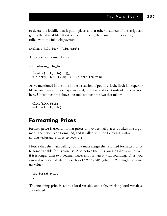to delete the lockfile that it put in place so that other instances of the script can get to the shared file. It takes one argument, the name of the lock file, and is called with the following syntax:

&release\_file\_lock("file.name");

The code is explained below

```
sub release_file_lock
  {
 local ($lock_file) = @_;
 # flock(LOCK_FILE, 8); # 8 unlocks the file
```
As we mentioned in the note in the discussion of **get\_file\_lock**, **flock** is a superior file locking system. If your system has it, go ahead and use it instead of the version here. Uncomment the above line and comment the two that follow.

```
close(LOCK_FILE);
unlink($lock_file);
}
```
#### **Formatting Prices**

**format\_price** is used to format prices to two decimal places. It takes one argument, the price to be formatted, and is called with the following syntax: \$price =&format\_price(xxx.yyyyy);

Notice that the main calling routine must assign the returned formatted price to some variable for its own use. Also notice that this routine takes a value even if it is longer than two decimal places and formats it with rounding. Thus, you can utilize price calculations such as 12.99 \* 7.985 (where 7.985 might be some tax value).

```
sub format_price
{
```
The incoming price is set to a local variable and a few working local variables are defined.